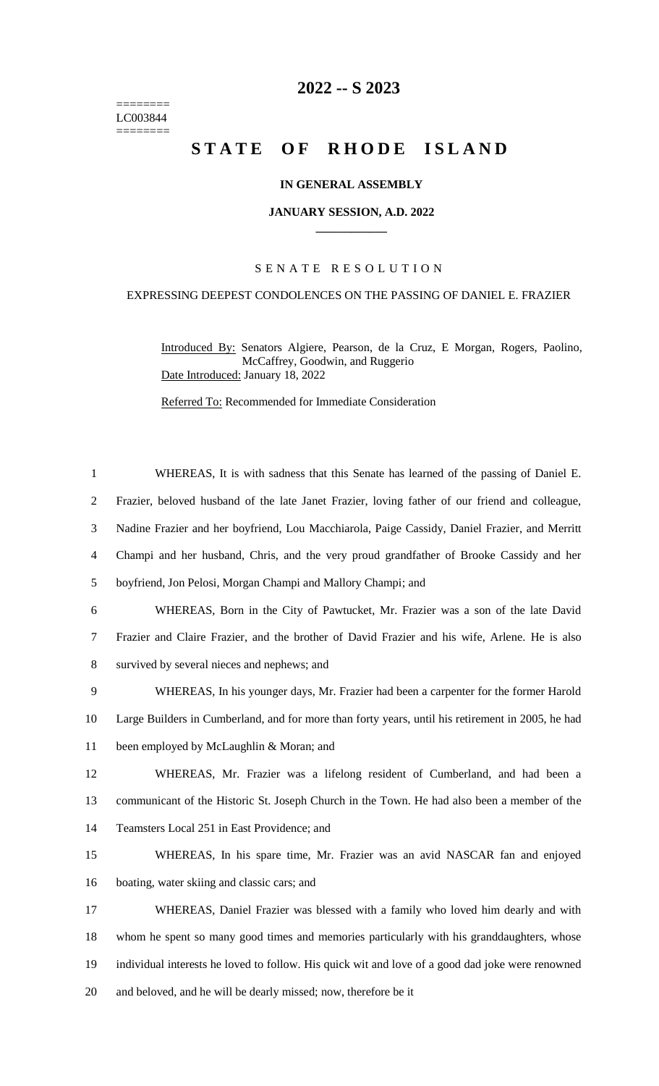======== LC003844  $=$ 

## **2022 -- S 2023**

# STATE OF RHODE ISLAND

## **IN GENERAL ASSEMBLY**

#### **JANUARY SESSION, A.D. 2022 \_\_\_\_\_\_\_\_\_\_\_\_**

## S E N A T E R E S O L U T I O N

## EXPRESSING DEEPEST CONDOLENCES ON THE PASSING OF DANIEL E. FRAZIER

Introduced By: Senators Algiere, Pearson, de la Cruz, E Morgan, Rogers, Paolino, McCaffrey, Goodwin, and Ruggerio Date Introduced: January 18, 2022

Referred To: Recommended for Immediate Consideration

| $\mathbf{1}$   | WHEREAS, It is with sadness that this Senate has learned of the passing of Daniel E.              |
|----------------|---------------------------------------------------------------------------------------------------|
| $\overline{2}$ | Frazier, beloved husband of the late Janet Frazier, loving father of our friend and colleague,    |
| 3              | Nadine Frazier and her boyfriend, Lou Macchiarola, Paige Cassidy, Daniel Frazier, and Merritt     |
| $\overline{4}$ | Champi and her husband, Chris, and the very proud grandfather of Brooke Cassidy and her           |
| 5              | boyfriend, Jon Pelosi, Morgan Champi and Mallory Champi; and                                      |
| 6              | WHEREAS, Born in the City of Pawtucket, Mr. Frazier was a son of the late David                   |
| 7              | Frazier and Claire Frazier, and the brother of David Frazier and his wife, Arlene. He is also     |
| $8\,$          | survived by several nieces and nephews; and                                                       |
| 9              | WHEREAS, In his younger days, Mr. Frazier had been a carpenter for the former Harold              |
| 10             | Large Builders in Cumberland, and for more than forty years, until his retirement in 2005, he had |
| 11             | been employed by McLaughlin & Moran; and                                                          |
| 12             | WHEREAS, Mr. Frazier was a lifelong resident of Cumberland, and had been a                        |
| 13             | communicant of the Historic St. Joseph Church in the Town. He had also been a member of the       |
| 14             | Teamsters Local 251 in East Providence; and                                                       |
| 15             | WHEREAS, In his spare time, Mr. Frazier was an avid NASCAR fan and enjoyed                        |
| 16             | boating, water skiing and classic cars; and                                                       |
| 17             | WHEREAS, Daniel Frazier was blessed with a family who loved him dearly and with                   |
| 18             | whom he spent so many good times and memories particularly with his granddaughters, whose         |
| 19             | individual interests he loved to follow. His quick wit and love of a good dad joke were renowned  |
| 20             | and beloved, and he will be dearly missed; now, therefore be it                                   |
|                |                                                                                                   |